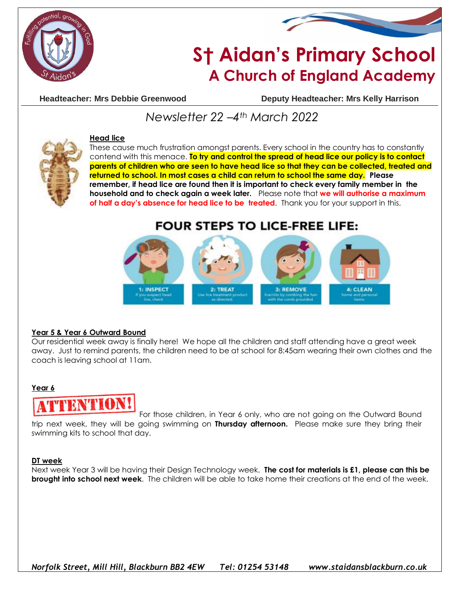



# **S† Aidan's Primary School A Church of England Academy**

**Headteacher: Mrs Debbie Greenwood Deputy Headteacher: Mrs Kelly Harrison**

# *Newsletter 22 –4th March 2022*



#### **Head lice**

These cause much frustration amongst parents. Every school in the country has to constantly contend with this menace. **To try and control the spread of head lice our policy is to contact parents of children who are seen to have head lice so that they can be collected, treated and returned to school. In most cases a child can return to school the same day. Please remember, if head lice are found then it is important to check every family member in the household and to check again a week later.** Please note that **we will authorise a maximum of half a day's absence for head lice to be treated**. Thank you for your support in this.

## **FOUR STEPS TO LICE-FREE LIFE:**



#### **Year 5 & Year 6 Outward Bound**

Our residential week away is finally here! We hope all the children and staff attending have a great week away. Just to remind parents, the children need to be at school for 8:45am wearing their own clothes and the coach is leaving school at 11am.

#### **Year 6**



For those children, in Year 6 only, who are not going on the Outward Bound trip next week, they will be going swimming on **Thursday afternoon.** Please make sure they bring their swimming kits to school that day.

#### **DT week**

Next week Year 3 will be having their Design Technology week. **The cost for materials is £1, please can this be brought into school next week**. The children will be able to take home their creations at the end of the week.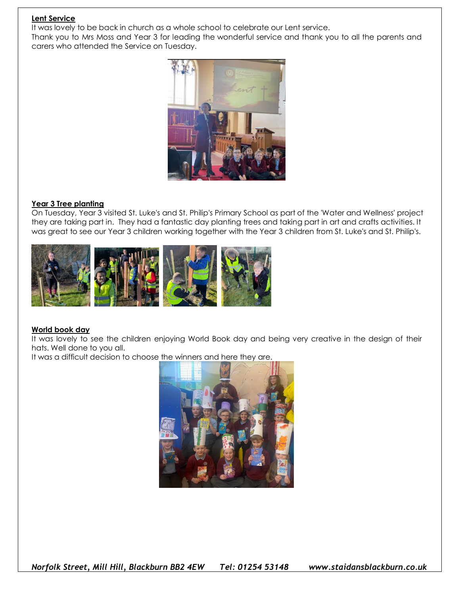#### **Lent Service**

It was lovely to be back in church as a whole school to celebrate our Lent service.

Thank you to Mrs Moss and Year 3 for leading the wonderful service and thank you to all the parents and carers who attended the Service on Tuesday.



#### **Year 3 Tree planting**

On Tuesday, Year 3 visited St. Luke's and St. Philip's Primary School as part of the 'Water and Wellness' project they are taking part in. They had a fantastic day planting trees and taking part in art and crafts activities. It was great to see our Year 3 children working together with the Year 3 children from St. Luke's and St. Philip's.



#### **World book day**

It was lovely to see the children enjoying World Book day and being very creative in the design of their hats. Well done to you all.

It was a difficult decision to choose the winners and here they are.



*Norfolk Street, Mill Hill, Blackburn BB2 4EW Tel: 01254 53148 www.staidansblackburn.co.uk*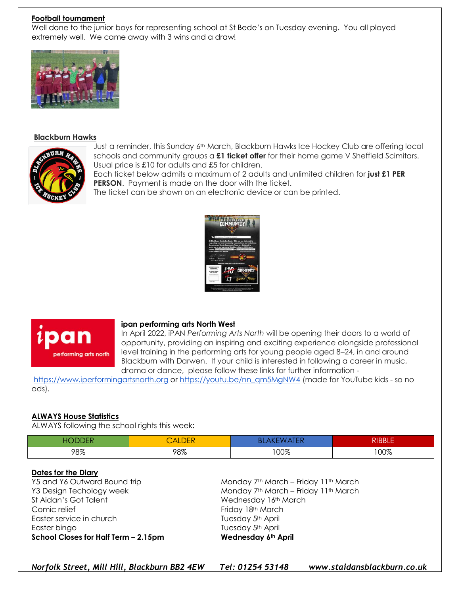#### **Football tournament**

Well done to the junior boys for representing school at St Bede's on Tuesday evening. You all played extremely well. We came away with 3 wins and a draw!



#### **Blackburn Hawks**



Just a reminder, this Sunday 6th March, Blackburn Hawks Ice Hockey Club are offering local schools and community groups a **£1 ticket offer** for their home game V Sheffield Scimitars. Usual price is £10 for adults and £5 for children.

Each ticket below admits a maximum of 2 adults and unlimited children for **just £1 PER PERSON.** Payment is made on the door with the ticket.

The ticket can be shown on an electronic device or can be printed.





#### **ipan performing arts North West**

In April 2022, iPAN *Performing Arts North* will be opening their doors to a world of opportunity, providing an inspiring and exciting experience alongside professional level training in the performing arts for young people aged 8–24, in and around Blackburn with Darwen. If your child is interested in following a career in music, drama or dance, please follow these links for further information -

[https://www.iperformingartsnorth.org](https://www.iperformingartsnorth.org/) or [https://youtu.be/nn\\_qm5MgNW4](https://youtu.be/nn_qm5MgNW4) (made for YouTube kids - so no ads).

#### **ALWAYS House Statistics**

ALWAYS following the school rights this week:

|     | $\overline{\mathsf{A}}$<br>ルレレト<br>- 11 |      | ם וססוכ |
|-----|-----------------------------------------|------|---------|
| 98% | 98%                                     | 100% | 100%    |

#### **Dates for the Diary**

St Aidan's Got Talent Wednesday 16th March Comic relief Friday 18th March Easter service in church Tuesday 5<sup>th</sup> April Easter bingo **Tuesday 5th April School Closes for Half Term – 2.15pm Wednesday 6th April**

Y5 and Y6 Outward Bound trip Monday 7<sup>th</sup> March – Friday 11<sup>th</sup> March Y3 Design Techology week Monday 7th March – Friday 11th March

*Norfolk Street, Mill Hill, Blackburn BB2 4EW Tel: 01254 53148 www.staidansblackburn.co.uk*